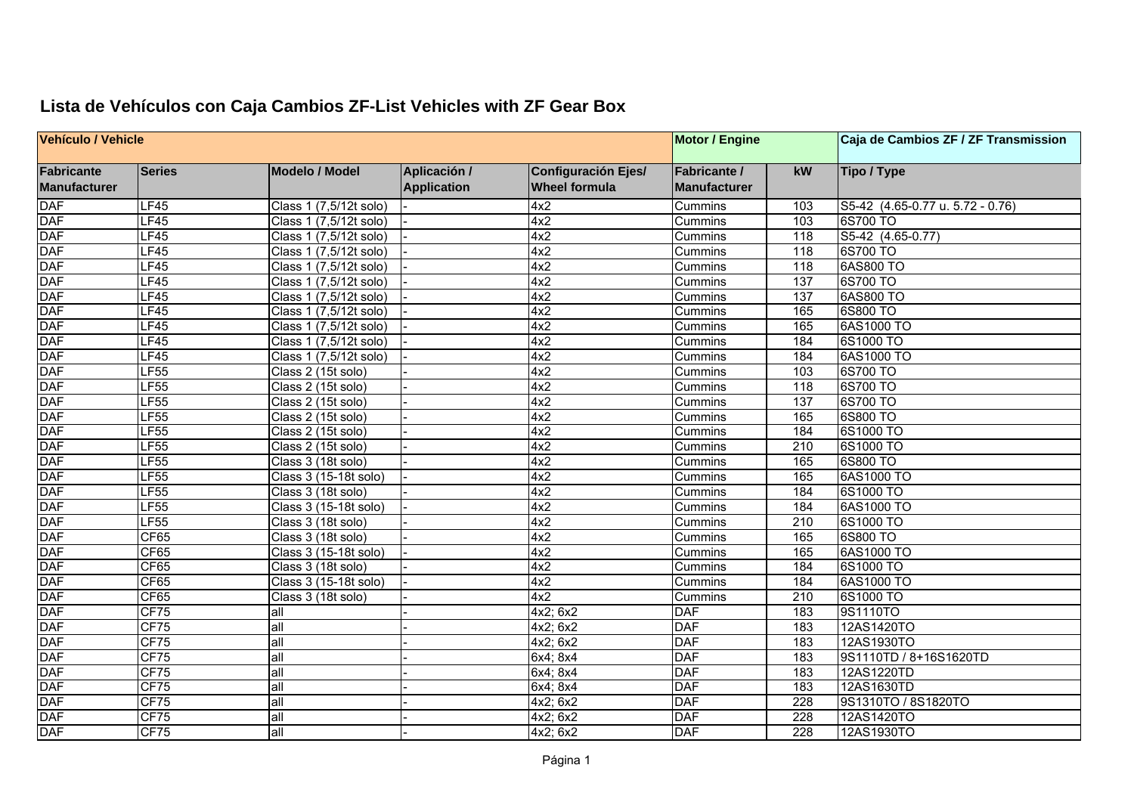| Vehículo / Vehicle                       |               |                        |                                    |                                                    | <b>Motor / Engine</b>                      |                  | Caja de Cambios ZF / ZF Transmission |
|------------------------------------------|---------------|------------------------|------------------------------------|----------------------------------------------------|--------------------------------------------|------------------|--------------------------------------|
| <b>Fabricante</b><br><b>Manufacturer</b> | <b>Series</b> | <b>Modelo / Model</b>  | Aplicación /<br><b>Application</b> | <b>Configuración Ejes/</b><br><b>Wheel formula</b> | <b>Fabricante /</b><br><b>Manufacturer</b> | kW               | Tipo / Type                          |
| <b>DAF</b>                               | LF45          | Class 1 (7,5/12t solo) |                                    | 4x2                                                | Cummins                                    | 103              | S5-42 (4.65-0.77 u. 5.72 - 0.76)     |
|                                          | LF45          | Class 1 (7,5/12t solo) |                                    | 4x2                                                | Cummins                                    | 103              | 6S700 TO                             |
| DAF<br>DAF<br>DAF                        | LF45          | Class 1 (7,5/12t solo) |                                    | 4x2                                                | Cummins                                    | $\overline{118}$ | S5-42 (4.65-0.77)                    |
|                                          | LF45          | Class 1 (7,5/12t solo) |                                    | 4x2                                                | Cummins                                    | $\overline{118}$ | 6S700 TO                             |
| <b>DAF</b>                               | LF45          | Class 1 (7,5/12t solo) |                                    | 4x2                                                | Cummins                                    | 118              | 6AS800 TO                            |
| <b>DAF</b>                               | LF45          | Class 1 (7,5/12t solo) |                                    | 4x2                                                | Cummins                                    | 137              | 6S700 TO                             |
| <b>DAF</b>                               | LF45          | Class 1 (7,5/12t solo) |                                    | 4x2                                                | Cummins                                    | 137              | 6AS800 TO                            |
|                                          | LF45          | Class 1 (7,5/12t solo) |                                    | 4x2                                                | Cummins                                    | 165              | 6S800 TO                             |
| DAF<br>DAF<br>DAF                        | LF45          | Class 1 (7,5/12t solo) |                                    | 4x2                                                | Cummins                                    | 165              | 6AS1000 TO                           |
|                                          | LF45          | Class 1 (7,5/12t solo) |                                    | 4x2                                                | Cummins                                    | 184              | 6S1000 TO                            |
| <b>DAF</b>                               | LF45          | Class 1 (7,5/12t solo) |                                    | 4x2                                                | Cummins                                    | 184              | 6AS1000 TO                           |
| <b>DAF</b>                               | LF55          | Class 2 (15t solo)     |                                    | 4x2                                                | Cummins                                    | 103              | 6S700 TO                             |
| <b>DAF</b>                               | LF55          | Class 2 (15t solo)     |                                    | 4x2                                                | Cummins                                    | $\overline{118}$ | 6S700 TO                             |
| DAF<br>DAF<br>DAF                        | LF55          | Class 2 (15t solo)     |                                    | 4x2                                                | Cummins                                    | 137              | 6S700 TO                             |
|                                          | LF55          | Class 2 (15t solo)     |                                    | 4x2                                                | Cummins                                    | 165              | 6S800 TO                             |
|                                          | LF55          | Class 2 (15t solo)     |                                    | 4x2                                                | Cummins                                    | 184              | 6S1000 TO                            |
| <b>DAF</b>                               | LF55          | Class 2 (15t solo)     |                                    | 4x2                                                | Cummins                                    | $\overline{210}$ | 6S1000 TO                            |
| <b>DAF</b>                               | LF55          | Class 3 (18t solo)     |                                    | 4x2                                                | Cummins                                    | 165              | 6S800 TO                             |
| <b>DAF</b>                               | LF55          | Class 3 (15-18t solo)  |                                    | 4x2                                                | Cummins                                    | 165              | 6AS1000 TO                           |
| DAF<br>DAF<br>DAF                        | LF55          | Class 3 (18t solo)     |                                    | 4x2                                                | Cummins                                    | 184              | 6S1000 TO                            |
|                                          | LF55          | Class 3 (15-18t solo)  |                                    | 4x2                                                | Cummins                                    | 184              | 6AS1000 TO                           |
|                                          | LF55          | Class 3 (18t solo)     |                                    | 4x2                                                | Cummins                                    | 210              | 6S1000 TO                            |
| <b>DAF</b>                               | CF65          | Class 3 (18t solo)     |                                    | 4x2                                                | Cummins                                    | 165              | 6S800 TO                             |
| <b>DAF</b>                               | CF65          | Class 3 (15-18t solo)  |                                    | 4x2                                                | Cummins                                    | 165              | 6AS1000 TO                           |
| <b>DAF</b>                               | CF65          | Class 3 (18t solo)     |                                    | 4x2                                                | Cummins                                    | 184              | 6S1000 TO                            |
| DAF<br>DAF<br>DAF                        | CF65          | Class 3 (15-18t solo)  |                                    | 4x2                                                | Cummins                                    | 184              | 6AS1000 TO                           |
|                                          | CF65          | Class 3 (18t solo)     |                                    | 4x2                                                | Cummins                                    | $\overline{210}$ | 6S1000 TO                            |
|                                          | CF75          | all                    |                                    | 4x2; 6x2                                           | <b>DAF</b>                                 | 183              | 9S1110TO                             |
| <b>DAF</b>                               | CF75          | all                    |                                    | 4x2; 6x2                                           | <b>DAF</b>                                 | 183              | 12AS1420TO                           |
| <b>DAF</b>                               | CF75          | all                    |                                    | 4x2; 6x2                                           | <b>DAF</b>                                 | 183              | 12AS1930TO                           |
| <b>DAF</b>                               | CF75          | all                    |                                    | 6x4; 8x4                                           | <b>DAF</b>                                 | 183              | 9S1110TD / 8+16S1620TD               |
| DAF<br>DAF<br>DAF                        | CF75          | all                    |                                    | 6x4; 8x4                                           | <b>DAF</b>                                 | 183              | 12AS1220TD                           |
|                                          | CF75          | all                    |                                    | 6x4; 8x4                                           | <b>DAF</b>                                 | 183              | 12AS1630TD                           |
|                                          | CF75          | all                    |                                    | 4x2; 6x2                                           | <b>DAF</b>                                 | 228              | 9S1310TO / 8S1820TO                  |
| <b>DAF</b>                               | CF75          | all                    |                                    | 4x2; 6x2                                           | <b>DAF</b>                                 | 228              | 12AS1420TO                           |
| <b>DAF</b>                               | CF75          | all                    |                                    | 4x2; 6x2                                           | <b>DAF</b>                                 | $\overline{228}$ | 12AS1930TO                           |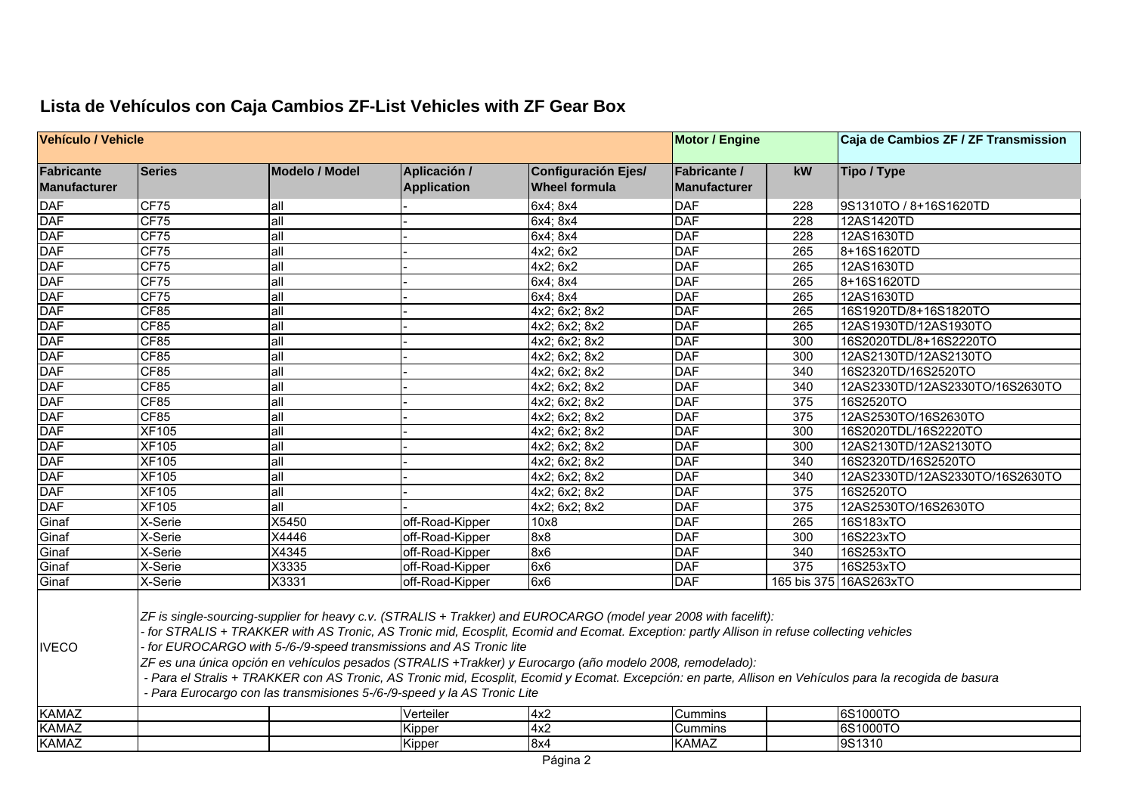| Vehículo / Vehicle                       |                                                                                                                                                                                                                                                                                                                                                                                                                                                                                                                                                                                                                                                                                          |                       |                                    |                                                    | <b>Motor / Engine</b>               |             | Caja de Cambios ZF / ZF Transmission |  |  |
|------------------------------------------|------------------------------------------------------------------------------------------------------------------------------------------------------------------------------------------------------------------------------------------------------------------------------------------------------------------------------------------------------------------------------------------------------------------------------------------------------------------------------------------------------------------------------------------------------------------------------------------------------------------------------------------------------------------------------------------|-----------------------|------------------------------------|----------------------------------------------------|-------------------------------------|-------------|--------------------------------------|--|--|
| <b>Fabricante</b><br><b>Manufacturer</b> | <b>Series</b>                                                                                                                                                                                                                                                                                                                                                                                                                                                                                                                                                                                                                                                                            | <b>Modelo / Model</b> | Aplicación /<br><b>Application</b> | <b>Configuración Ejes/</b><br><b>Wheel formula</b> | <b>Fabricante /</b><br>Manufacturer | kW          | <b>Tipo / Type</b>                   |  |  |
|                                          | CF75                                                                                                                                                                                                                                                                                                                                                                                                                                                                                                                                                                                                                                                                                     | all                   |                                    | 6x4; 8x4                                           | <b>DAF</b>                          | 228         | 9S1310TO / 8+16S1620TD               |  |  |
| DAF<br>DAF                               | CF75                                                                                                                                                                                                                                                                                                                                                                                                                                                                                                                                                                                                                                                                                     | all                   |                                    | 6x4; 8x4                                           | <b>DAF</b>                          | 228         | 12AS1420TD                           |  |  |
| <b>DAF</b>                               | CF75                                                                                                                                                                                                                                                                                                                                                                                                                                                                                                                                                                                                                                                                                     | all                   |                                    | 6x4; 8x4                                           | <b>DAF</b>                          | 228         | 12AS1630TD                           |  |  |
|                                          | CF75                                                                                                                                                                                                                                                                                                                                                                                                                                                                                                                                                                                                                                                                                     | all                   |                                    | $4x2$ ; 6x2                                        | <b>DAF</b>                          | 265         | 8+16S1620TD                          |  |  |
|                                          | CF75                                                                                                                                                                                                                                                                                                                                                                                                                                                                                                                                                                                                                                                                                     | all                   |                                    | 4x2; 6x2                                           | <b>DAF</b>                          | 265         | 12AS1630TD                           |  |  |
| DAF<br>DAF<br>DAF<br>DAF                 | CF75                                                                                                                                                                                                                                                                                                                                                                                                                                                                                                                                                                                                                                                                                     | all                   |                                    | 6x4; 8x4                                           | <b>DAF</b>                          | 265         | 8+16S1620TD                          |  |  |
|                                          | CF75                                                                                                                                                                                                                                                                                                                                                                                                                                                                                                                                                                                                                                                                                     | all                   |                                    | 6x4; 8x4                                           | <b>DAF</b>                          | 265         | 12AS1630TD                           |  |  |
| <b>DAF</b>                               | CF85                                                                                                                                                                                                                                                                                                                                                                                                                                                                                                                                                                                                                                                                                     | all                   |                                    | 4x2; 6x2; 8x2                                      | <b>DAF</b>                          | 265         | 16S1920TD/8+16S1820TO                |  |  |
| <b>DAF</b>                               | CF85                                                                                                                                                                                                                                                                                                                                                                                                                                                                                                                                                                                                                                                                                     | all                   |                                    | 4x2; 6x2; 8x2                                      | <b>DAF</b>                          | 265         | 12AS1930TD/12AS1930TO                |  |  |
| DAF<br>DAF<br>DAF                        | CF85                                                                                                                                                                                                                                                                                                                                                                                                                                                                                                                                                                                                                                                                                     | all                   |                                    | 4x2; 6x2; 8x2                                      | <b>DAF</b>                          | 300         | 16S2020TDL/8+16S2220TO               |  |  |
|                                          | CF85                                                                                                                                                                                                                                                                                                                                                                                                                                                                                                                                                                                                                                                                                     | all                   |                                    | 4x2; 6x2; 8x2                                      | <b>DAF</b>                          | 300         | 12AS2130TD/12AS2130TO                |  |  |
|                                          | CF85                                                                                                                                                                                                                                                                                                                                                                                                                                                                                                                                                                                                                                                                                     | all                   |                                    | 4x2; 6x2; 8x2                                      | <b>DAF</b>                          | 340         | 16S2320TD/16S2520TO                  |  |  |
| <b>DAF</b>                               | CF85                                                                                                                                                                                                                                                                                                                                                                                                                                                                                                                                                                                                                                                                                     | all                   |                                    | 4x2; 6x2; 8x2                                      | <b>DAF</b>                          | 340         | 12AS2330TD/12AS2330TO/16S2630TO      |  |  |
|                                          | CF85                                                                                                                                                                                                                                                                                                                                                                                                                                                                                                                                                                                                                                                                                     | all                   |                                    | $4x2$ ; $6x2$ ; $8x2$                              | <b>DAF</b>                          | 375         | 16S2520TO                            |  |  |
|                                          | CF85                                                                                                                                                                                                                                                                                                                                                                                                                                                                                                                                                                                                                                                                                     | all                   |                                    | 4x2; 6x2; 8x2                                      | <b>DAF</b>                          | 375         | 12AS2530TO/16S2630TO                 |  |  |
|                                          | <b>XF105</b>                                                                                                                                                                                                                                                                                                                                                                                                                                                                                                                                                                                                                                                                             | all                   |                                    | 4x2; 6x2; 8x2                                      | <b>DAF</b>                          | 300         | 16S2020TDL/16S2220TO                 |  |  |
|                                          | <b>XF105</b>                                                                                                                                                                                                                                                                                                                                                                                                                                                                                                                                                                                                                                                                             | all                   |                                    | 4x2; 6x2; 8x2                                      | <b>DAF</b>                          | 300         | 12AS2130TD/12AS2130TO                |  |  |
|                                          | <b>XF105</b>                                                                                                                                                                                                                                                                                                                                                                                                                                                                                                                                                                                                                                                                             | all                   |                                    | 4x2; 6x2; 8x2                                      | <b>DAF</b>                          | 340         | 16S2320TD/16S2520TO                  |  |  |
| DAF<br>DAF<br>DAF<br>DAF<br>DAF<br>DAF   | <b>XF105</b>                                                                                                                                                                                                                                                                                                                                                                                                                                                                                                                                                                                                                                                                             | all                   |                                    | 4x2; 6x2; 8x2                                      | <b>DAF</b>                          | 340         | 12AS2330TD/12AS2330TO/16S2630TO      |  |  |
| DAF<br>DAF                               | <b>XF105</b>                                                                                                                                                                                                                                                                                                                                                                                                                                                                                                                                                                                                                                                                             | all                   |                                    | 4x2; 6x2; 8x2                                      | <b>DAF</b>                          | 375         | 16S2520TO                            |  |  |
|                                          | <b>XF105</b>                                                                                                                                                                                                                                                                                                                                                                                                                                                                                                                                                                                                                                                                             | all                   |                                    | 4x2; 6x2; 8x2                                      | <b>DAF</b>                          | 375         | 12AS2530TO/16S2630TO                 |  |  |
| Ginaf                                    | X-Serie                                                                                                                                                                                                                                                                                                                                                                                                                                                                                                                                                                                                                                                                                  | X5450                 | off-Road-Kipper                    | 10x8                                               | <b>DAF</b>                          | 265         | 16S183xTO                            |  |  |
| Ginaf                                    | X-Serie                                                                                                                                                                                                                                                                                                                                                                                                                                                                                                                                                                                                                                                                                  | X4446                 | off-Road-Kipper                    | 8x8                                                | <b>DAF</b>                          | 300         | 16S223xTO                            |  |  |
| Ginaf                                    | X-Serie                                                                                                                                                                                                                                                                                                                                                                                                                                                                                                                                                                                                                                                                                  | $\overline{X4345}$    | off-Road-Kipper                    | 8x6                                                | <b>DAF</b>                          | 340         | 16S253xTO                            |  |  |
| Ginaf                                    | X-Serie                                                                                                                                                                                                                                                                                                                                                                                                                                                                                                                                                                                                                                                                                  | X3335                 | off-Road-Kipper                    | 6x6                                                | <b>DAF</b>                          | 375         | 16S253xTO                            |  |  |
| Ginaf                                    | X-Serie                                                                                                                                                                                                                                                                                                                                                                                                                                                                                                                                                                                                                                                                                  | X3331                 | off-Road-Kipper                    | 6x6                                                | <b>DAF</b>                          | 165 bis 375 | 16AS263xTO                           |  |  |
| <b>IVECO</b>                             | ZF is single-sourcing-supplier for heavy c.v. (STRALIS + Trakker) and EUROCARGO (model year 2008 with facelift):<br>for STRALIS + TRAKKER with AS Tronic, AS Tronic mid, Ecosplit, Ecomid and Ecomat. Exception: partly Allison in refuse collecting vehicles<br>for EUROCARGO with 5-/6-/9-speed transmissions and AS Tronic lite<br>ZF es una única opción en vehículos pesados (STRALIS +Trakker) y Eurocargo (año modelo 2008, remodelado):<br>- Para el Stralis + TRAKKER con AS Tronic, AS Tronic mid, Ecosplit, Ecomid y Ecomat. Excepción: en parte, Allison en Vehículos para la recogida de basura<br>- Para Eurocargo con las transmisiones 5-/6-/9-speed y la AS Tronic Lite |                       |                                    |                                                    |                                     |             |                                      |  |  |
| <b>KAMAZ</b>                             |                                                                                                                                                                                                                                                                                                                                                                                                                                                                                                                                                                                                                                                                                          |                       | Verteiler                          | 4x2                                                | Cummins                             |             | 6S1000TO                             |  |  |
| <b>KAMAZ</b>                             |                                                                                                                                                                                                                                                                                                                                                                                                                                                                                                                                                                                                                                                                                          |                       | Kipper                             | 4x2                                                | Cummins                             |             | 6S1000TO                             |  |  |
| <b>KAMAZ</b>                             |                                                                                                                                                                                                                                                                                                                                                                                                                                                                                                                                                                                                                                                                                          |                       | Kipper                             | 8x4                                                | <b>KAMAZ</b>                        |             | 9S1310                               |  |  |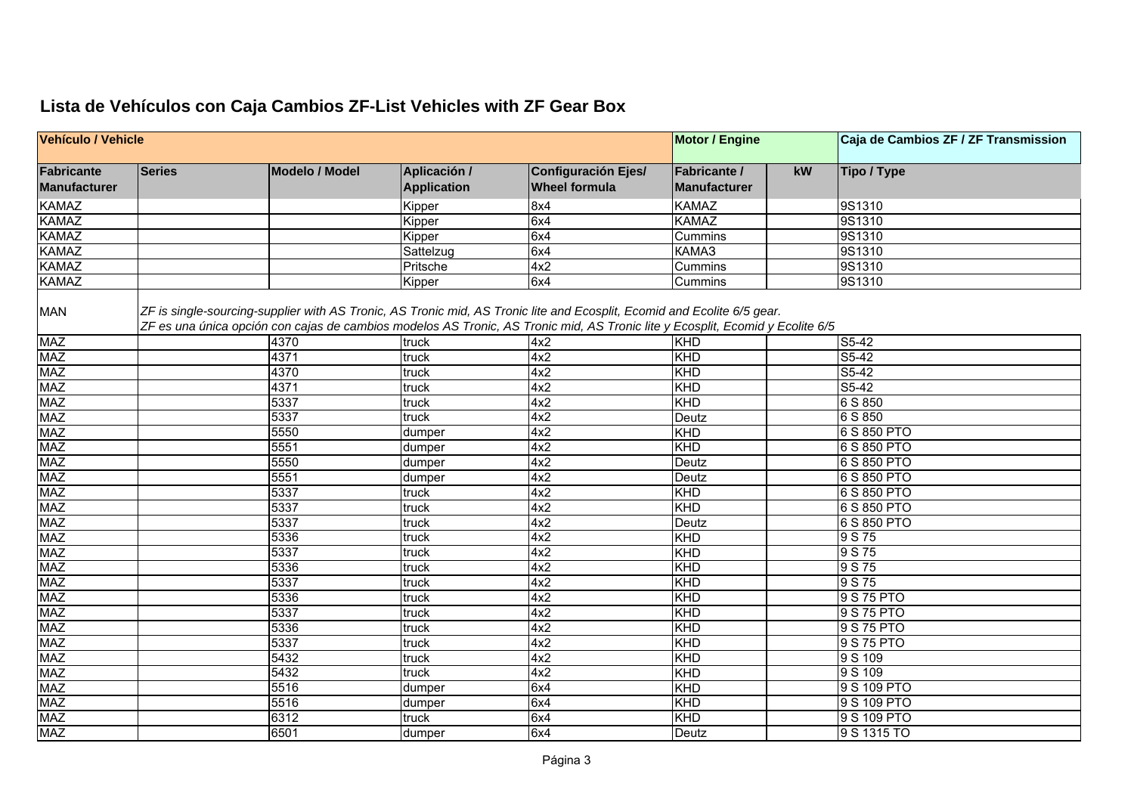| <b>Vehículo / Vehicle</b><br><b>Motor / Engine</b> |        |                       |                                    |                                                                                                                                                                                                                                                          |                                     |    | Caja de Cambios ZF / ZF Transmission |
|----------------------------------------------------|--------|-----------------------|------------------------------------|----------------------------------------------------------------------------------------------------------------------------------------------------------------------------------------------------------------------------------------------------------|-------------------------------------|----|--------------------------------------|
| <b>Fabricante</b><br><b>Manufacturer</b>           | Series | <b>Modelo / Model</b> | Aplicación /<br><b>Application</b> | <b>Configuración Ejes/</b><br><b>Wheel formula</b>                                                                                                                                                                                                       | <b>Fabricante /</b><br>Manufacturer | kW | Tipo / Type                          |
| <b>KAMAZ</b>                                       |        |                       | Kipper                             | 8x4                                                                                                                                                                                                                                                      | <b>KAMAZ</b>                        |    | 9S1310                               |
| <b>KAMAZ</b>                                       |        |                       | Kipper                             | 6x4                                                                                                                                                                                                                                                      | <b>KAMAZ</b>                        |    | 9S1310                               |
| <b>KAMAZ</b>                                       |        |                       | Kipper                             | 6x4                                                                                                                                                                                                                                                      | Cummins                             |    | 9S1310                               |
| <b>KAMAZ</b>                                       |        |                       | Sattelzug                          | 6x4                                                                                                                                                                                                                                                      | KAMA3                               |    | 9S1310                               |
| <b>KAMAZ</b>                                       |        |                       | Pritsche                           | 4x2                                                                                                                                                                                                                                                      | Cummins                             |    | 9S1310                               |
| <b>KAMAZ</b>                                       |        |                       | Kipper                             | 6x4                                                                                                                                                                                                                                                      | Cummins                             |    | 9S1310                               |
| <b>MAN</b>                                         |        |                       |                                    | ZF is single-sourcing-supplier with AS Tronic, AS Tronic mid, AS Tronic lite and Ecosplit, Ecomid and Ecolite 6/5 gear.<br>ZF es una única opción con cajas de cambios modelos AS Tronic, AS Tronic mid, AS Tronic lite y Ecosplit, Ecomid y Ecolite 6/5 |                                     |    |                                      |
| <b>MAZ</b>                                         |        | 4370                  | truck                              | 4x2                                                                                                                                                                                                                                                      | KHD                                 |    | S5-42                                |
| <b>MAZ</b>                                         |        | 4371                  | truck                              | 4x2                                                                                                                                                                                                                                                      | KHD                                 |    | $S5-42$                              |
| <b>MAZ</b>                                         |        | 4370                  | truck                              | 4x2                                                                                                                                                                                                                                                      | <b>KHD</b>                          |    | $S5-42$                              |
| <b>MAZ</b>                                         |        | 4371                  | truck                              | 4x2                                                                                                                                                                                                                                                      | KHD                                 |    | $S5-42$                              |
| <b>MAZ</b>                                         |        | 5337                  | truck                              | 4x2                                                                                                                                                                                                                                                      | KHD                                 |    | 6 S 850                              |
| <b>MAZ</b>                                         |        | 5337                  | truck                              | 4x2                                                                                                                                                                                                                                                      | Deutz                               |    | 6 S 850                              |
| <b>MAZ</b>                                         |        | 5550                  | dumper                             | 4x2                                                                                                                                                                                                                                                      | KHD                                 |    | 6 S 850 PTO                          |
| <b>MAZ</b>                                         |        | 5551                  | dumper                             | 4x2                                                                                                                                                                                                                                                      | KHD                                 |    | 6 S 850 PTO                          |
| <b>MAZ</b>                                         |        | 5550                  | dumper                             | 4x2                                                                                                                                                                                                                                                      | Deutz                               |    | 6 S 850 PTO                          |
| <b>MAZ</b>                                         |        | 5551                  | dumper                             | 4x2                                                                                                                                                                                                                                                      | Deutz                               |    | 6 S 850 PTO                          |
| <b>MAZ</b>                                         |        | 5337                  | truck                              | 4x2                                                                                                                                                                                                                                                      | <b>KHD</b>                          |    | 6 S 850 PTO                          |
| <b>MAZ</b>                                         |        | 5337                  | truck                              | 4x2                                                                                                                                                                                                                                                      | KHD                                 |    | 6 S 850 PTO                          |
| <b>MAZ</b>                                         |        | 5337                  | truck                              | 4x2                                                                                                                                                                                                                                                      | Deutz                               |    | 6 S 850 PTO                          |
| <b>MAZ</b>                                         |        | 5336                  | truck                              | 4x2                                                                                                                                                                                                                                                      | KHD                                 |    | 9 S 75                               |
| <b>MAZ</b>                                         |        | 5337                  | truck                              | 4x2                                                                                                                                                                                                                                                      | KHD                                 |    | 9 S 75                               |
| <b>MAZ</b>                                         |        | 5336                  | truck                              | 4x2                                                                                                                                                                                                                                                      | KHD                                 |    | 9 S 75                               |
| <b>MAZ</b>                                         |        | 5337                  | truck                              | 4x2                                                                                                                                                                                                                                                      | KHD                                 |    | 9 S 75                               |
| <b>MAZ</b>                                         |        | 5336                  | truck                              | 4x2                                                                                                                                                                                                                                                      | KHD                                 |    | 9 S 75 PTO                           |
| <b>MAZ</b>                                         |        | 5337                  | truck                              | 4x2                                                                                                                                                                                                                                                      | KHD                                 |    | 9 S 75 PTO                           |
| <b>MAZ</b>                                         |        | 5336                  | truck                              | 4x2                                                                                                                                                                                                                                                      | KHD                                 |    | 9 S 75 PTO                           |
| <b>MAZ</b>                                         |        | 5337                  | truck                              | 4x2                                                                                                                                                                                                                                                      | KHD                                 |    | 9 S 75 PTO                           |
| <b>MAZ</b>                                         |        | 5432                  | truck                              | 4x2                                                                                                                                                                                                                                                      | <b>KHD</b>                          |    | 9 S 109                              |
| <b>MAZ</b>                                         |        | 5432                  | truck                              | 4x2                                                                                                                                                                                                                                                      | KHD                                 |    | 9 S 109                              |
| <b>MAZ</b>                                         |        | 5516                  | dumper                             | 6x4                                                                                                                                                                                                                                                      | KHD                                 |    | 9 S 109 PTO                          |
| <b>MAZ</b>                                         |        | 5516                  | dumper                             | 6x4                                                                                                                                                                                                                                                      | KHD                                 |    | 9 S 109 PTO                          |
| <b>MAZ</b>                                         |        | 6312                  | truck                              | 6x4                                                                                                                                                                                                                                                      | <b>KHD</b>                          |    | 9 S 109 PTO                          |
| <b>MAZ</b>                                         |        | 6501                  | dumper                             | 6x4                                                                                                                                                                                                                                                      | Deutz                               |    | 9 S 1315 TO                          |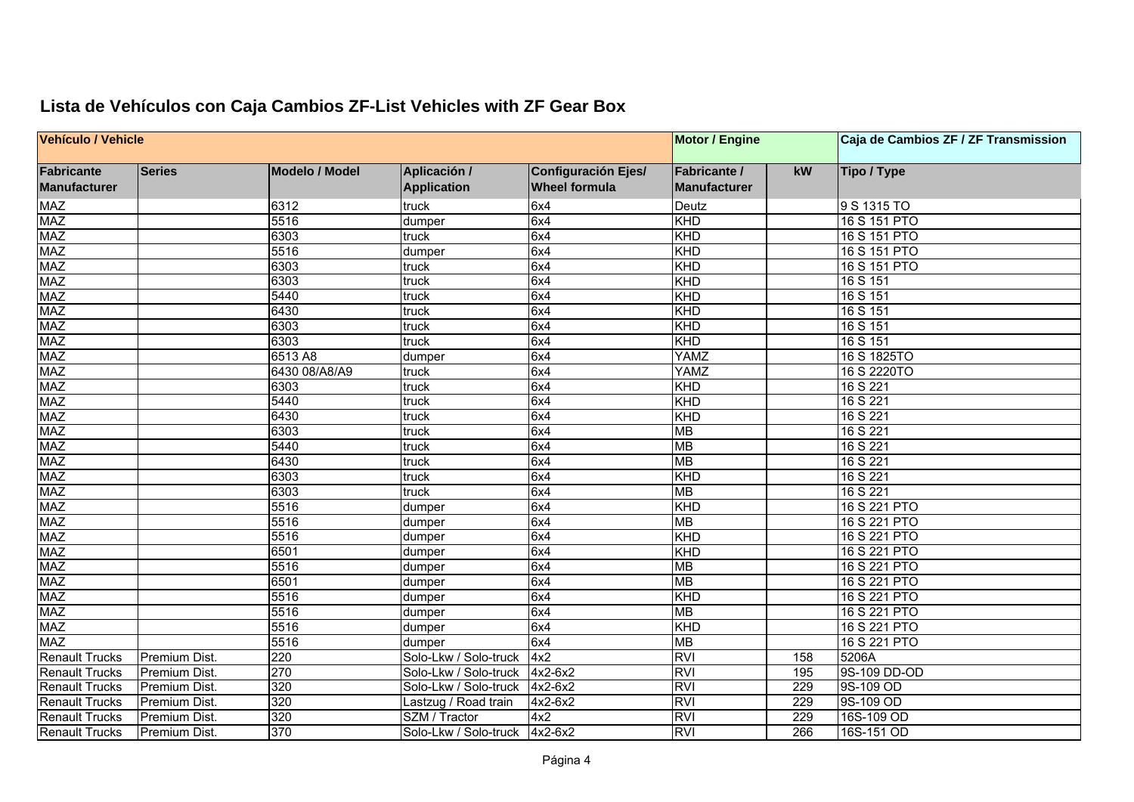| Vehículo / Vehicle                |               |                       |                                    |                                                    | <b>Motor / Engine</b>                      |     | Caja de Cambios ZF / ZF Transmission |
|-----------------------------------|---------------|-----------------------|------------------------------------|----------------------------------------------------|--------------------------------------------|-----|--------------------------------------|
| <b>Fabricante</b><br>Manufacturer | <b>Series</b> | <b>Modelo / Model</b> | Aplicación /<br><b>Application</b> | <b>Configuración Ejes/</b><br><b>Wheel formula</b> | <b>Fabricante /</b><br><b>Manufacturer</b> | kW  | Tipo / Type                          |
| MAZ                               |               | 6312                  | truck                              | 6x4                                                | Deutz                                      |     | 9 S 1315 TO                          |
| <b>MAZ</b>                        |               | 5516                  | dumper                             | 6x4                                                | KHD                                        |     | 16 S 151 PTO                         |
| <b>MAZ</b>                        |               | 6303                  | truck                              | 6x4                                                | KHD                                        |     | 16 S 151 PTO                         |
| <b>MAZ</b>                        |               | 5516                  | dumper                             | 6x4                                                | KHD                                        |     | 16 S 151 PTO                         |
| <b>MAZ</b>                        |               | 6303                  | truck                              | 6x4                                                | KHD                                        |     | 16 S 151 PTO                         |
| <b>MAZ</b>                        |               | 6303                  | truck                              | 6x4                                                | KHD                                        |     | 16 S 151                             |
| <b>MAZ</b>                        |               | 5440                  | truck                              | 6x4                                                | KHD                                        |     | 16 S 151                             |
| <b>MAZ</b>                        |               | 6430                  | truck                              | 6x4                                                | KHD                                        |     | 16 S 151                             |
| <b>MAZ</b>                        |               | 6303                  | truck                              | 6x4                                                | KHD                                        |     | 16 S 151                             |
| <b>MAZ</b>                        |               | 6303                  | truck                              | 6x4                                                | KHD                                        |     | 16 S 151                             |
| <b>MAZ</b>                        |               | 6513 A8               | dumper                             | 6x4                                                | <b>YAMZ</b>                                |     | 16 S 1825TO                          |
| <b>MAZ</b>                        |               | 6430 08/A8/A9         | truck                              | 6x4                                                | <b>YAMZ</b>                                |     | 16 S 2220TO                          |
| <b>MAZ</b>                        |               | 6303                  | truck                              | 6x4                                                | KHD                                        |     | 16 S 221                             |
| <b>MAZ</b>                        |               | 5440                  | truck                              | 6x4                                                | KHD                                        |     | 16 S 221                             |
| <b>MAZ</b>                        |               | 6430                  | truck                              | 6x4                                                | KHD                                        |     | 16 S 221                             |
| <b>MAZ</b>                        |               | 6303                  | truck                              | 6x4                                                | MB                                         |     | 16 S 221                             |
| <b>MAZ</b>                        |               | 5440                  | truck                              | 6x4                                                | <b>MB</b>                                  |     | 16 S 221                             |
| <b>MAZ</b>                        |               | 6430                  | truck                              | 6x4                                                | <b>MB</b>                                  |     | 16 S 221                             |
|                                   |               | 6303                  |                                    |                                                    | KHD                                        |     | 16 S 221                             |
| <b>MAZ</b><br><b>MAZ</b>          |               |                       | truck                              | 6x4                                                | <b>MB</b>                                  |     | 16 S 221                             |
|                                   |               | 6303                  | truck                              | 6x4                                                |                                            |     |                                      |
| <b>MAZ</b>                        |               | 5516                  | dumper                             | 6x4                                                | KHD                                        |     | 16 S 221 PTO                         |
| <b>MAZ</b>                        |               | 5516                  | dumper                             | 6x4                                                | <b>MB</b>                                  |     | 16 S 221 PTO                         |
| <b>MAZ</b>                        |               | 5516                  | dumper                             | 6x4                                                | KHD                                        |     | 16 S 221 PTO                         |
| <b>MAZ</b>                        |               | 6501                  | dumper                             | 6x4                                                | KHD                                        |     | 16 S 221 PTO                         |
| <b>MAZ</b>                        |               | 5516                  | dumper                             | 6x4                                                | <b>MB</b>                                  |     | 16 S 221 PTO                         |
| <b>MAZ</b>                        |               | 6501                  | dumper                             | 6x4                                                | <b>MB</b>                                  |     | 16 S 221 PTO                         |
| <b>MAZ</b>                        |               | 5516                  | dumper                             | 6x4                                                | KHD                                        |     | 16 S 221 PTO                         |
| <b>MAZ</b>                        |               | 5516                  | dumper                             | 6x4                                                | MB                                         |     | 16 S 221 PTO                         |
| <b>MAZ</b>                        |               | 5516                  | dumper                             | 6x4                                                | KHD                                        |     | 16 S 221 PTO                         |
| <b>MAZ</b>                        |               | 5516                  | dumper                             | 6x4                                                | MB                                         |     | 16 S 221 PTO                         |
| <b>Renault Trucks</b>             | Premium Dist. | 220                   | Solo-Lkw / Solo-truck              | 4x2                                                | <b>RVI</b>                                 | 158 | 5206A                                |
| <b>Renault Trucks</b>             | Premium Dist. | 270                   | Solo-Lkw / Solo-truck              | $4x2-6x2$                                          | <b>RVI</b>                                 | 195 | 9S-109 DD-OD                         |
| <b>Renault Trucks</b>             | Premium Dist. | 320                   | Solo-Lkw / Solo-truck              | $4x2-6x2$                                          | <b>RVI</b>                                 | 229 | 9S-109 OD                            |
| <b>Renault Trucks</b>             | Premium Dist. | 320                   | Lastzug / Road train               | $4x2-6x2$                                          | <b>RVI</b>                                 | 229 | 9S-109 OD                            |
| <b>Renault Trucks</b>             | Premium Dist. | 320                   | SZM / Tractor                      | 4x2                                                | <b>RVI</b>                                 | 229 | 16S-109 OD                           |
| <b>Renault Trucks</b>             | Premium Dist. | 370                   | Solo-Lkw / Solo-truck              | 4x2-6x2                                            | <b>RVI</b>                                 | 266 | 16S-151 OD                           |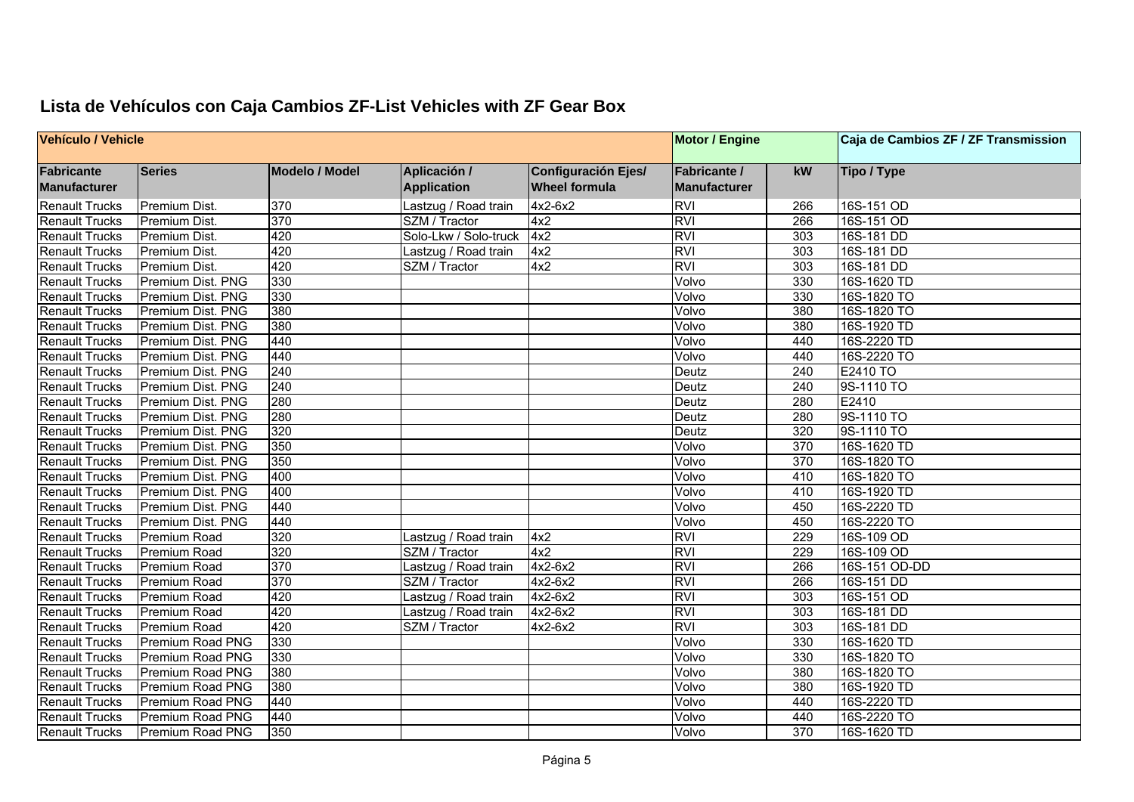| Vehículo / Vehicle                |                   |                       |                                    |                                                    | <b>Motor / Engine</b>               |                  | Caja de Cambios ZF / ZF Transmission |
|-----------------------------------|-------------------|-----------------------|------------------------------------|----------------------------------------------------|-------------------------------------|------------------|--------------------------------------|
| Fabricante<br><b>Manufacturer</b> | <b>Series</b>     | <b>Modelo / Model</b> | Aplicación /<br><b>Application</b> | <b>Configuración Ejes/</b><br><b>Wheel formula</b> | Fabricante /<br><b>Manufacturer</b> | kW               | Tipo / Type                          |
| <b>Renault Trucks</b>             | Premium Dist.     | 370                   | Lastzug / Road train               | 4x2-6x2                                            | <b>RVI</b>                          | 266              | 16S-151 OD                           |
| <b>Renault Trucks</b>             | Premium Dist.     | 370                   | SZM / Tractor                      | 4x2                                                | <b>RVI</b>                          | 266              | 16S-151 OD                           |
| <b>Renault Trucks</b>             | Premium Dist.     | 420                   | Solo-Lkw / Solo-truck              | 4x2                                                | <b>RVI</b>                          | 303              | 16S-181 DD                           |
| <b>Renault Trucks</b>             | Premium Dist.     | 420                   | Lastzug / Road train               | 4x2                                                | <b>RVI</b>                          | 303              | 16S-181 DD                           |
| <b>Renault Trucks</b>             | Premium Dist.     | 420                   | SZM / Tractor                      | 4x2                                                | <b>RVI</b>                          | 303              | 16S-181 DD                           |
| <b>Renault Trucks</b>             | Premium Dist. PNG | 330                   |                                    |                                                    | Volvo                               | 330              | 16S-1620 TD                          |
| <b>Renault Trucks</b>             | Premium Dist. PNG | 330                   |                                    |                                                    | Volvo                               | 330              | 16S-1820 TO                          |
| <b>Renault Trucks</b>             | Premium Dist. PNG | 380                   |                                    |                                                    | Volvo                               | 380              | 16S-1820 TO                          |
| <b>Renault Trucks</b>             | Premium Dist. PNG | 380                   |                                    |                                                    | Volvo                               | 380              | 16S-1920 TD                          |
| <b>Renault Trucks</b>             | Premium Dist. PNG | 440                   |                                    |                                                    | Volvo                               | 440              | 16S-2220 TD                          |
| <b>Renault Trucks</b>             | Premium Dist. PNG | 440                   |                                    |                                                    | Volvo                               | 440              | 16S-2220 TO                          |
| <b>Renault Trucks</b>             | Premium Dist. PNG | 240                   |                                    |                                                    | Deutz                               | 240              | E2410 TO                             |
| <b>Renault Trucks</b>             | Premium Dist. PNG | 240                   |                                    |                                                    | Deutz                               | 240              | 9S-1110 TO                           |
| <b>Renault Trucks</b>             | Premium Dist. PNG | 280                   |                                    |                                                    | Deutz                               | 280              | E2410                                |
| <b>Renault Trucks</b>             | Premium Dist. PNG | 280                   |                                    |                                                    | Deutz                               | 280              | 9S-1110 TO                           |
| <b>Renault Trucks</b>             | Premium Dist. PNG | 320                   |                                    |                                                    | Deutz                               | 320              | 9S-1110 TO                           |
| <b>Renault Trucks</b>             | Premium Dist. PNG | 350                   |                                    |                                                    | Volvo                               | $\overline{370}$ | 16S-1620 TD                          |
| <b>Renault Trucks</b>             | Premium Dist. PNG | 350                   |                                    |                                                    | Volvo                               | 370              | 16S-1820 TO                          |
| <b>Renault Trucks</b>             | Premium Dist. PNG | 400                   |                                    |                                                    | Volvo                               | 410              | 16S-1820 TO                          |
| <b>Renault Trucks</b>             | Premium Dist. PNG | 400                   |                                    |                                                    | Volvo                               | 410              | 16S-1920 TD                          |
| <b>Renault Trucks</b>             | Premium Dist. PNG | 440                   |                                    |                                                    | Volvo                               | 450              | 16S-2220 TD                          |
| <b>Renault Trucks</b>             | Premium Dist. PNG | 440                   |                                    |                                                    | Volvo                               | 450              | 16S-2220 TO                          |
| <b>Renault Trucks</b>             | Premium Road      | 320                   | Lastzug / Road train               | 4x2                                                | <b>RVI</b>                          | 229              | 16S-109 OD                           |
| <b>Renault Trucks</b>             | Premium Road      | 320                   | SZM / Tractor                      | 4x2                                                | <b>RVI</b>                          | 229              | 16S-109 OD                           |
| <b>Renault Trucks</b>             | Premium Road      | 370                   | Lastzug / Road train               | $4x2-6x2$                                          | <b>RVI</b>                          | 266              | 16S-151 OD-DD                        |
| <b>Renault Trucks</b>             | Premium Road      | 370                   | SZM / Tractor                      | $4x2-6x2$                                          | <b>RVI</b>                          | 266              | 16S-151 DD                           |
| <b>Renault Trucks</b>             | Premium Road      | 420                   | Lastzug / Road train               | $4x2-6x2$                                          | <b>RVI</b>                          | 303              | 16S-151 OD                           |
| <b>Renault Trucks</b>             | Premium Road      | 420                   | Lastzug / Road train               | 4x2-6x2                                            | <b>RVI</b>                          | 303              | 16S-181 DD                           |
| <b>Renault Trucks</b>             | Premium Road      | 420                   | SZM / Tractor                      | 4x2-6x2                                            | <b>RVI</b>                          | 303              | 16S-181 DD                           |
| <b>Renault Trucks</b>             | Premium Road PNG  | 330                   |                                    |                                                    | Volvo                               | 330              | 16S-1620 TD                          |
| <b>Renault Trucks</b>             | Premium Road PNG  | 330                   |                                    |                                                    | Volvo                               | 330              | 16S-1820 TO                          |
| <b>Renault Trucks</b>             | Premium Road PNG  | 380                   |                                    |                                                    | Volvo                               | 380              | 16S-1820 TO                          |
| <b>Renault Trucks</b>             | Premium Road PNG  | 380                   |                                    |                                                    | Volvo                               | 380              | 16S-1920 TD                          |
| <b>Renault Trucks</b>             | Premium Road PNG  | 440                   |                                    |                                                    | Volvo                               | 440              | 16S-2220 TD                          |
| <b>Renault Trucks</b>             | Premium Road PNG  | 440                   |                                    |                                                    | Volvo                               | 440              | 16S-2220 TO                          |
| <b>Renault Trucks</b>             | Premium Road PNG  | 350                   |                                    |                                                    | Volvo                               | 370              | 16S-1620 TD                          |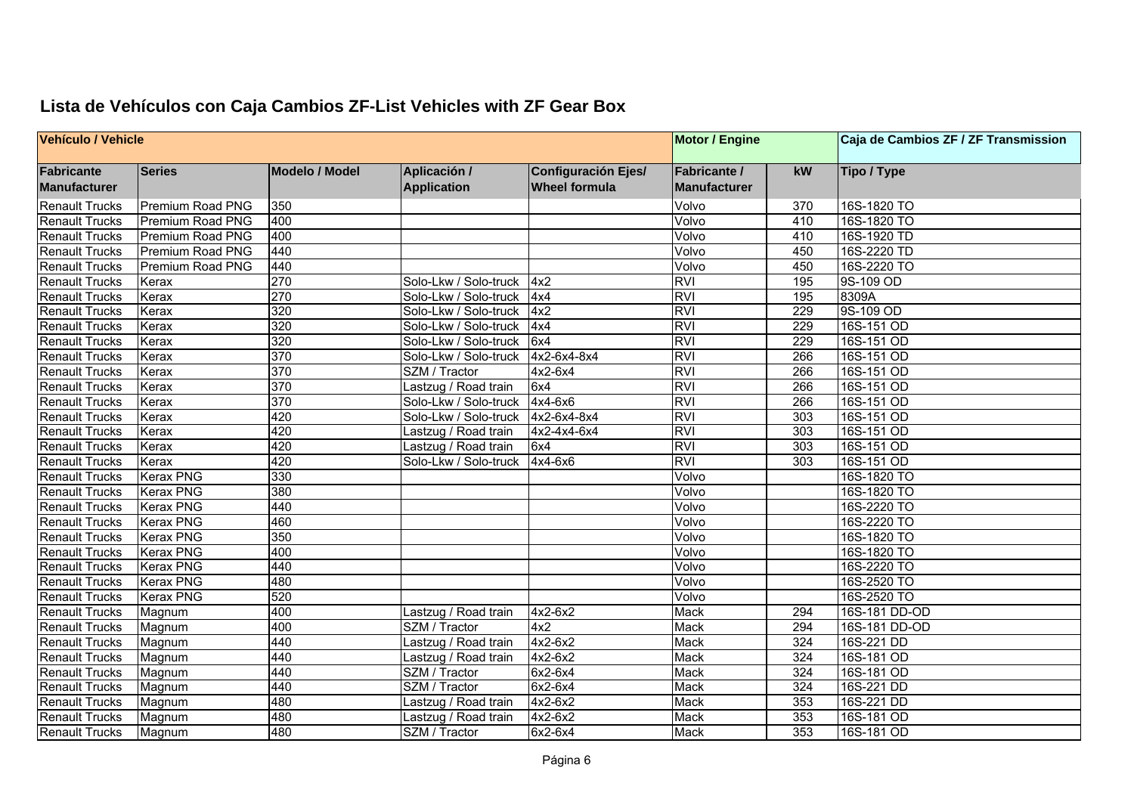| <b>Vehículo / Vehicle</b> |                  |                       |                       |                            | <b>Motor / Engine</b> |     | Caja de Cambios ZF / ZF Transmission |
|---------------------------|------------------|-----------------------|-----------------------|----------------------------|-----------------------|-----|--------------------------------------|
| <b>Fabricante</b>         | <b>Series</b>    | <b>Modelo / Model</b> | Aplicación /          | <b>Configuración Ejes/</b> | <b>Fabricante /</b>   | kW  | Tipo / Type                          |
| Manufacturer              |                  |                       | <b>Application</b>    | <b>Wheel formula</b>       | <b>Manufacturer</b>   |     |                                      |
| <b>Renault Trucks</b>     | Premium Road PNG | 350                   |                       |                            | Volvo                 | 370 | 16S-1820 TO                          |
| <b>Renault Trucks</b>     | Premium Road PNG | 400                   |                       |                            | Volvo                 | 410 | 16S-1820 TO                          |
| <b>Renault Trucks</b>     | Premium Road PNG | 400                   |                       |                            | Volvo                 | 410 | 16S-1920 TD                          |
| <b>Renault Trucks</b>     | Premium Road PNG | 440                   |                       |                            | Volvo                 | 450 | 16S-2220 TD                          |
| <b>Renault Trucks</b>     | Premium Road PNG | 440                   |                       |                            | Volvo                 | 450 | 16S-2220 TO                          |
| <b>Renault Trucks</b>     | Kerax            | 270                   | Solo-Lkw / Solo-truck | 4x2                        | <b>RVI</b>            | 195 | 9S-109 OD                            |
| <b>Renault Trucks</b>     | Kerax            | 270                   | Solo-Lkw / Solo-truck | 4x4                        | <b>RVI</b>            | 195 | 8309A                                |
| <b>Renault Trucks</b>     | Kerax            | 320                   | Solo-Lkw / Solo-truck | 4x2                        | <b>RVI</b>            | 229 | 9S-109 OD                            |
| <b>Renault Trucks</b>     | Kerax            | 320                   | Solo-Lkw / Solo-truck | 4x4                        | <b>RVI</b>            | 229 | 16S-151 OD                           |
| <b>Renault Trucks</b>     | Kerax            | 320                   | Solo-Lkw / Solo-truck | 6x4                        | <b>RVI</b>            | 229 | 16S-151 OD                           |
| <b>Renault Trucks</b>     | Kerax            | 370                   | Solo-Lkw / Solo-truck | 4x2-6x4-8x4                | <b>RVI</b>            | 266 | 16S-151 OD                           |
| <b>Renault Trucks</b>     | Kerax            | 370                   | SZM / Tractor         | 4x2-6x4                    | <b>RVI</b>            | 266 | 16S-151 OD                           |
| Renault Trucks            | Kerax            | 370                   | Lastzug / Road train  | 6x4                        | <b>RVI</b>            | 266 | 16S-151 OD                           |
| <b>Renault Trucks</b>     | Kerax            | 370                   | Solo-Lkw / Solo-truck | 4x4-6x6                    | <b>RVI</b>            | 266 | 16S-151 OD                           |
| <b>Renault Trucks</b>     | Kerax            | 420                   | Solo-Lkw / Solo-truck | 4x2-6x4-8x4                | <b>RVI</b>            | 303 | 16S-151 OD                           |
| <b>Renault Trucks</b>     | Kerax            | 420                   | Lastzug / Road train  | 4x2-4x4-6x4                | <b>RVI</b>            | 303 | 16S-151 OD                           |
| <b>Renault Trucks</b>     | Kerax            | 420                   | Lastzug / Road train  | 6x4                        | <b>RVI</b>            | 303 | 16S-151 OD                           |
| Renault Trucks            | Kerax            | 420                   | Solo-Lkw / Solo-truck | 4x4-6x6                    | <b>RVI</b>            | 303 | 16S-151 OD                           |
| Renault Trucks            | <b>Kerax PNG</b> | 330                   |                       |                            | Volvo                 |     | 16S-1820 TO                          |
| <b>Renault Trucks</b>     | <b>Kerax PNG</b> | 380                   |                       |                            | Volvo                 |     | 16S-1820 TO                          |
| <b>Renault Trucks</b>     | <b>Kerax PNG</b> | 440                   |                       |                            | Volvo                 |     | 16S-2220 TO                          |
| <b>Renault Trucks</b>     | <b>Kerax PNG</b> | 460                   |                       |                            | Volvo                 |     | 16S-2220 TO                          |
| <b>Renault Trucks</b>     | <b>Kerax PNG</b> | 350                   |                       |                            | Volvo                 |     | 16S-1820 TO                          |
| <b>Renault Trucks</b>     | <b>Kerax PNG</b> | 400                   |                       |                            | Volvo                 |     | 16S-1820 TO                          |
| <b>Renault Trucks</b>     | <b>Kerax PNG</b> | 440                   |                       |                            | Volvo                 |     | 16S-2220 TO                          |
| <b>Renault Trucks</b>     | <b>Kerax PNG</b> | 480                   |                       |                            | Volvo                 |     | 16S-2520 TO                          |
| <b>Renault Trucks</b>     | <b>Kerax PNG</b> | 520                   |                       |                            | Volvo                 |     | 16S-2520 TO                          |
| <b>Renault Trucks</b>     | Magnum           | 400                   | Lastzug / Road train  | 4x2-6x2                    | Mack                  | 294 | 16S-181 DD-OD                        |
| <b>Renault Trucks</b>     | Magnum           | 400                   | SZM / Tractor         | 4x2                        | Mack                  | 294 | 16S-181 DD-OD                        |
| <b>Renault Trucks</b>     | Magnum           | 440                   | Lastzug / Road train  | 4x2-6x2                    | Mack                  | 324 | 16S-221 DD                           |
| <b>Renault Trucks</b>     | Magnum           | 440                   | Lastzug / Road train  | $4x2-6x2$                  | <b>Mack</b>           | 324 | 16S-181 OD                           |
| <b>Renault Trucks</b>     | Magnum           | 440                   | SZM / Tractor         | 6x2-6x4                    | Mack                  | 324 | 16S-181 OD                           |
| <b>Renault Trucks</b>     | Magnum           | 440                   | SZM / Tractor         | 6x2-6x4                    | Mack                  | 324 | 16S-221 DD                           |
| <b>Renault Trucks</b>     | Magnum           | 480                   | astzug / Road train   | $4x2-6x2$                  | Mack                  | 353 | 16S-221 DD                           |
| <b>Renault Trucks</b>     | Magnum           | 480                   | Lastzug / Road train  | $4x2-6x2$                  | Mack                  | 353 | 16S-181 OD                           |
| <b>Renault Trucks</b>     | Magnum           | 480                   | SZM / Tractor         | 6x2-6x4                    | Mack                  | 353 | 16S-181 OD                           |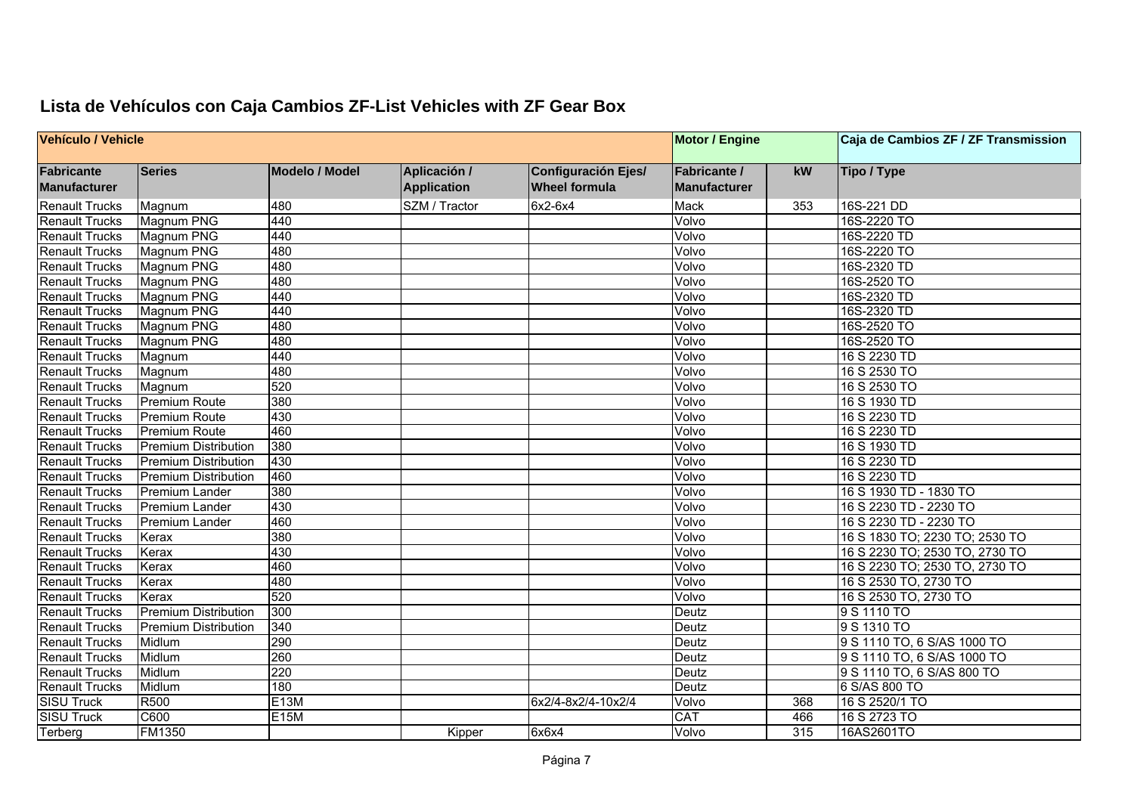| Vehículo / Vehicle                |                             |                       |                                    |                                                    |                                            |     | Caja de Cambios ZF / ZF Transmission |
|-----------------------------------|-----------------------------|-----------------------|------------------------------------|----------------------------------------------------|--------------------------------------------|-----|--------------------------------------|
| <b>Fabricante</b><br>Manufacturer | <b>Series</b>               | <b>Modelo / Model</b> | Aplicación /<br><b>Application</b> | <b>Configuración Ejes/</b><br><b>Wheel formula</b> | <b>Fabricante /</b><br><b>Manufacturer</b> | kW  | Tipo / Type                          |
| <b>Renault Trucks</b>             | Magnum                      | 480                   | SZM / Tractor                      | 6x2-6x4                                            | <b>Mack</b>                                | 353 | 16S-221 DD                           |
| <b>Renault Trucks</b>             | Magnum PNG                  | 440                   |                                    |                                                    | Volvo                                      |     | 16S-2220 TO                          |
| <b>Renault Trucks</b>             | Magnum PNG                  | 440                   |                                    |                                                    | Volvo                                      |     | 16S-2220 TD                          |
| <b>Renault Trucks</b>             | Magnum PNG                  | 480                   |                                    |                                                    | Volvo                                      |     | 16S-2220 TO                          |
| <b>Renault Trucks</b>             | Magnum PNG                  | 480                   |                                    |                                                    | Volvo                                      |     | 16S-2320 TD                          |
| <b>Renault Trucks</b>             | Magnum PNG                  | 480                   |                                    |                                                    | Volvo                                      |     | 16S-2520 TO                          |
| Renault Trucks                    | Magnum PNG                  | 440                   |                                    |                                                    | Volvo                                      |     | 16S-2320 TD                          |
| <b>Renault Trucks</b>             | Magnum PNG                  | 440                   |                                    |                                                    | Volvo                                      |     | 16S-2320 TD                          |
| <b>Renault Trucks</b>             | <b>Magnum PNG</b>           | 480                   |                                    |                                                    | Volvo                                      |     | 16S-2520 TO                          |
| <b>Renault Trucks</b>             | Magnum PNG                  | 480                   |                                    |                                                    | Volvo                                      |     | 16S-2520 TO                          |
| <b>Renault Trucks</b>             | Magnum                      | 440                   |                                    |                                                    | Volvo                                      |     | 16 S 2230 TD                         |
| <b>Renault Trucks</b>             | Magnum                      | 480                   |                                    |                                                    | Volvo                                      |     | 16 S 2530 TO                         |
| Renault Trucks                    | Magnum                      | 520                   |                                    |                                                    | Volvo                                      |     | 16 S 2530 TO                         |
| <b>Renault Trucks</b>             | <b>Premium Route</b>        | 380                   |                                    |                                                    | Volvo                                      |     | 16 S 1930 TD                         |
| <b>Renault Trucks</b>             | <b>Premium Route</b>        | 430                   |                                    |                                                    | Volvo                                      |     | 16 S 2230 TD                         |
| <b>Renault Trucks</b>             | <b>Premium Route</b>        | 460                   |                                    |                                                    | Volvo                                      |     | 16 S 2230 TD                         |
| Renault Trucks                    | <b>Premium Distribution</b> | 380                   |                                    |                                                    | Volvo                                      |     | 16 S 1930 TD                         |
| <b>Renault Trucks</b>             | <b>Premium Distribution</b> | 430                   |                                    |                                                    | Volvo                                      |     | 16 S 2230 TD                         |
| Renault Trucks                    | <b>Premium Distribution</b> | 460                   |                                    |                                                    | Volvo                                      |     | 16 S 2230 TD                         |
| <b>Renault Trucks</b>             | Premium Lander              | 380                   |                                    |                                                    | Volvo                                      |     | 16 S 1930 TD - 1830 TO               |
| <b>Renault Trucks</b>             | <b>Premium Lander</b>       | 430                   |                                    |                                                    | Volvo                                      |     | 16 S 2230 TD - 2230 TO               |
| <b>Renault Trucks</b>             | Premium Lander              | 460                   |                                    |                                                    | Volvo                                      |     | 16 S 2230 TD - 2230 TO               |
| <b>Renault Trucks</b>             | Kerax                       | 380                   |                                    |                                                    | Volvo                                      |     | 16 S 1830 TO; 2230 TO; 2530 TO       |
| <b>Renault Trucks</b>             | Kerax                       | 430                   |                                    |                                                    | Volvo                                      |     | 16 S 2230 TO; 2530 TO, 2730 TO       |
| <b>Renault Trucks</b>             | Kerax                       | 460                   |                                    |                                                    | Volvo                                      |     | 16 S 2230 TO; 2530 TO, 2730 TO       |
| <b>Renault Trucks</b>             | Kerax                       | 480                   |                                    |                                                    | Volvo                                      |     | 16 S 2530 TO, 2730 TO                |
| <b>Renault Trucks</b>             | Kerax                       | 520                   |                                    |                                                    | Volvo                                      |     | 16 S 2530 TO, 2730 TO                |
| <b>Renault Trucks</b>             | <b>Premium Distribution</b> | 300                   |                                    |                                                    | Deutz                                      |     | 9 S 1110 TO                          |
| <b>Renault Trucks</b>             | <b>Premium Distribution</b> | 340                   |                                    |                                                    | Deutz                                      |     | 9 S 1310 TO                          |
| <b>Renault Trucks</b>             | Midlum                      | 290                   |                                    |                                                    | Deutz                                      |     | 9 S 1110 TO, 6 S/AS 1000 TO          |
| <b>Renault Trucks</b>             | Midlum                      | 260                   |                                    |                                                    | Deutz                                      |     | 9 S 1110 TO, 6 S/AS 1000 TO          |
| <b>Renault Trucks</b>             | Midlum                      | 220                   |                                    |                                                    | Deutz                                      |     | 9 S 1110 TO, 6 S/AS 800 TO           |
| <b>Renault Trucks</b>             | Midlum                      | 180                   |                                    |                                                    | Deutz                                      |     | 6 S/AS 800 TO                        |
| <b>SISU Truck</b>                 | R500                        | E <sub>13</sub> M     |                                    | 6x2/4-8x2/4-10x2/4                                 | Volvo                                      | 368 | 16 S 2520/1 TO                       |
| <b>SISU Truck</b>                 | C600                        | E15M                  |                                    |                                                    | <b>CAT</b>                                 | 466 | 16 S 2723 TO                         |
| Terberg                           | <b>FM1350</b>               |                       | Kipper                             | 6x6x4                                              | Volvo                                      | 315 | 16AS2601TO                           |